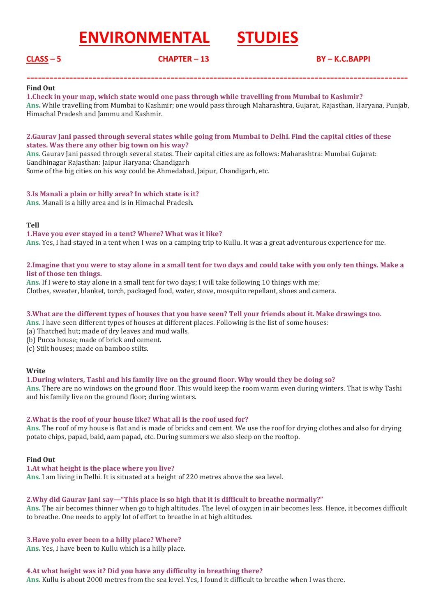# **ENVIRONMENTAL STUDIES**

# **CLASS – 5 CHAPTER – 13 BY – K.C.BAPPI**

#### **Find Out**

**1.Check in your map, which state would one pass through while travelling from Mumbai to Kashmir? Ans.** While travelling from Mumbai to Kashmir; one would pass through Maharashtra, Gujarat, Rajasthan, Haryana, Punjab, Himachal Pradesh and Jammu and Kashmir.

**--------------------------------------------------------------------------------------------------**

#### **2.Gaurav Jani passed through several states while going from Mumbai to Delhi. Find the capital cities of these states. Was there any other big town on his way?**

**Ans.** Gaurav Jani passed through several states. Their capital cities are as follows: Maharashtra: Mumbai Gujarat: Gandhinagar Rajasthan: Jaipur Haryana: Chandigarh Some of the big cities on his way could be Ahmedabad, Jaipur, Chandigarh, etc.

#### **3.Is Manali a plain or hilly area? In which state is it?**

**Ans.** Manali is a hilly area and is in Himachal Pradesh.

#### **Tell**

**1.Have you ever stayed in a tent? Where? What was it like? Ans.** Yes, I had stayed in a tent when I was on a camping trip to Kullu. It was a great adventurous experience for me.

#### **2.Imagine that you were to stay alone in a small tent for two days and could take with you only ten things. Make a list of those ten things.**

**Ans.** If I were to stay alone in a small tent for two days; I will take following 10 things with me; Clothes, sweater, blanket, torch, packaged food, water, stove, mosquito repellant, shoes and camera.

# **3.What are the different types of houses that you have seen? Tell your friends about it. Make drawings too.**

**Ans.** I have seen different types of houses at different places. Following is the list of some houses:

- (a) Thatched hut; made of dry leaves and mud walls.
- (b) Pucca house; made of brick and cement.
- (c) Stilt houses; made on bamboo stilts.

#### **Write**

# **1.During winters, Tashi and his family live on the ground floor. Why would they be doing so?**

**Ans.** There are no windows on the ground floor. This would keep the room warm even during winters. That is why Tashi and his family live on the ground floor; during winters.

# **2.What is the roof of your house like? What all is the roof used for?**

**Ans.** The roof of my house is flat and is made of bricks and cement. We use the roof for drying clothes and also for drying potato chips, papad, baid, aam papad, etc. During summers we also sleep on the rooftop.

#### **Find Out**

#### **1.At what height is the place where you live?**

**Ans.** I am living in Delhi. It is situated at a height of 220 metres above the sea level.

#### **2.Why did Gaurav Jani say—"This place is so high that it is difficult to breathe normally?"**

**Ans.** The air becomes thinner when go to high altitudes. The level of oxygen in air becomes less. Hence, it becomes difficult to breathe. One needs to apply lot of effort to breathe in at high altitudes.

# **3.Have yolu ever been to a hilly place? Where?**

**Ans.** Yes, I have been to Kullu which is a hilly place.

#### **4.At what height was it? Did you have any difficulty in breathing there?**

**Ans.** Kullu is about 2000 metres from the sea level. Yes, I found it difficult to breathe when I was there.